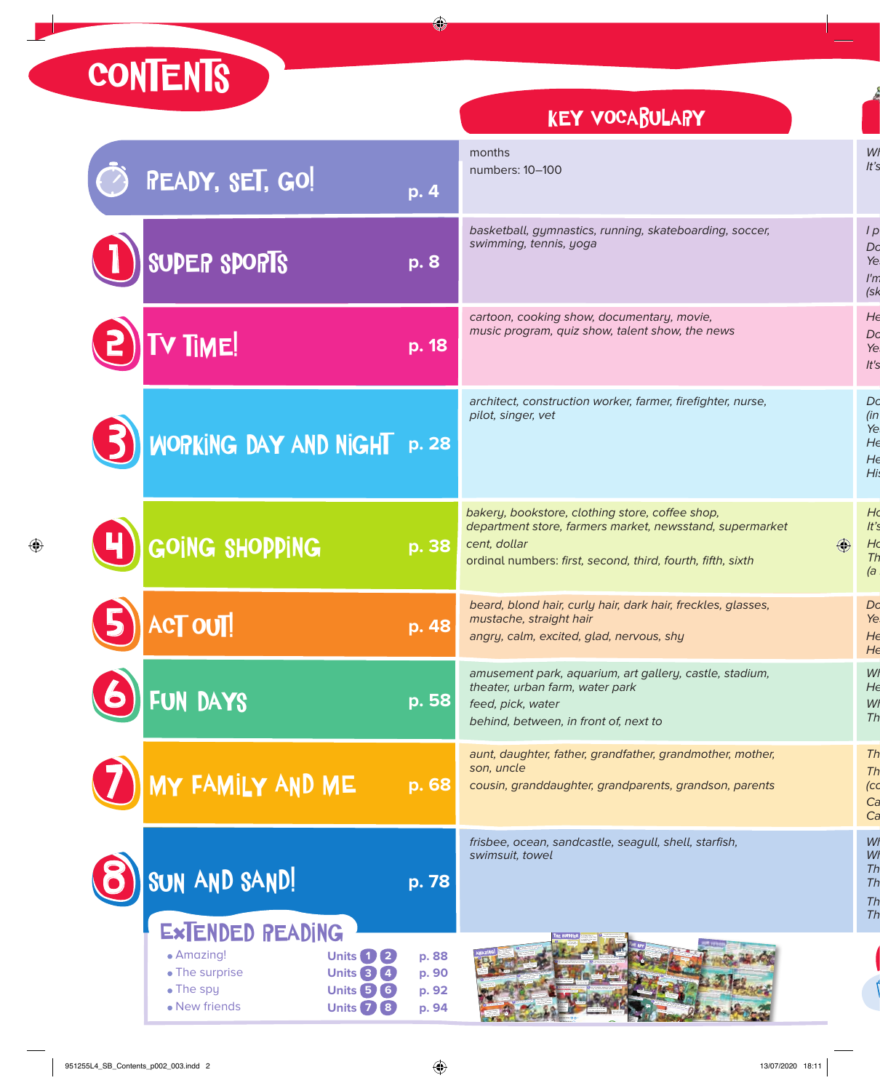**CONTENTS** 

## **KEY VOCABULARY**

| <b>READY, SET, GO!</b>                                                                                                                                         | p. 4                             | months<br>numbers: 10-100                                                                                                                                                                  |
|----------------------------------------------------------------------------------------------------------------------------------------------------------------|----------------------------------|--------------------------------------------------------------------------------------------------------------------------------------------------------------------------------------------|
| SUPER SPORTS                                                                                                                                                   | p. 8                             | basketball, gymnastics, running, skateboarding, soccer,<br>swimming, tennis, yoga                                                                                                          |
| V TIME!                                                                                                                                                        | p. 18                            | cartoon, cooking show, documentary, movie,<br>music program, quiz show, talent show, the news                                                                                              |
| WORKING DAY AND NIGHT                                                                                                                                          | p. 28                            | architect, construction worker, farmer, firefighter, nurse,<br>pilot, singer, vet                                                                                                          |
| GOING SHOPPING                                                                                                                                                 | p. 38                            | bakery, bookstore, clothing store, coffee shop,<br>department store, farmers market, newsstand, supermarket<br>cent, dollar<br>ordinal numbers: first, second, third, fourth, fifth, sixth |
| <b>CT OUT!</b>                                                                                                                                                 | p. 48                            | beard, blond hair, curly hair, dark hair, freckles, glasses,<br>mustache, straight hair<br>angry, calm, excited, glad, nervous, shy                                                        |
| FUN DAYS                                                                                                                                                       | p. 58                            | amusement park, aquarium, art gallery, castle, stadium,<br>theater, urban farm, water park<br>feed, pick, water<br>behind, between, in front of, next to                                   |
| MY FAMILY AND ME                                                                                                                                               | p. 68                            | aunt, daughter, father, grandfather, grandmother, mother,<br>son, uncle<br>cousin, granddaughter, grandparents, grandson, parents                                                          |
| SUN AND SAND!                                                                                                                                                  | p. 78                            | frisbee, ocean, sandcastle, seagull, shell, starfish,<br>swimsuit, towel                                                                                                                   |
| EXTENDED READING<br>• Amazing!<br><b>Units 1 2</b><br>• The surprise<br><b>Units 3 4</b><br>• The spy<br><b>Units 5 6</b><br>• New friends<br><b>Units 7 8</b> | p. 88<br>p. 90<br>p. 92<br>p. 94 |                                                                                                                                                                                            |